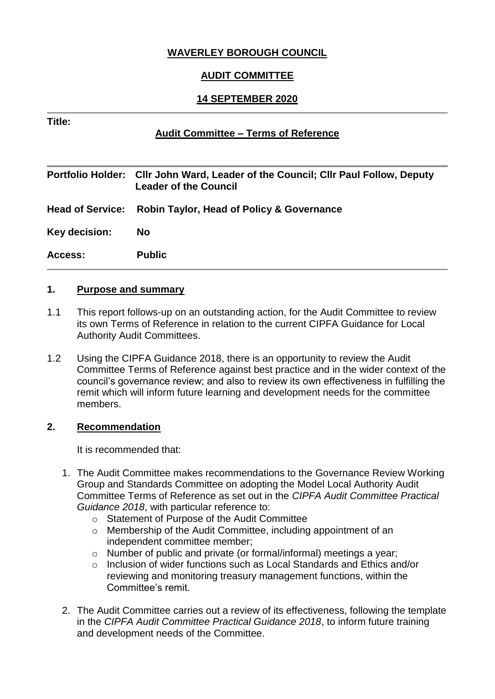# **WAVERLEY BOROUGH COUNCIL**

# **AUDIT COMMITTEE**

### **14 SEPTEMBER 2020**

#### **Title:**

#### **Audit Committee – Terms of Reference**

|               | Portfolio Holder: Cllr John Ward, Leader of the Council; Cllr Paul Follow, Deputy<br><b>Leader of the Council</b> |
|---------------|-------------------------------------------------------------------------------------------------------------------|
|               | Head of Service: Robin Taylor, Head of Policy & Governance                                                        |
| Key decision: | <b>No</b>                                                                                                         |
| Access:       | <b>Public</b>                                                                                                     |

## **1. Purpose and summary**

- 1.1 This report follows-up on an outstanding action, for the Audit Committee to review its own Terms of Reference in relation to the current CIPFA Guidance for Local Authority Audit Committees.
- 1.2 Using the CIPFA Guidance 2018, there is an opportunity to review the Audit Committee Terms of Reference against best practice and in the wider context of the council's governance review; and also to review its own effectiveness in fulfilling the remit which will inform future learning and development needs for the committee members.

#### **2. Recommendation**

It is recommended that:

- 1. The Audit Committee makes recommendations to the Governance Review Working Group and Standards Committee on adopting the Model Local Authority Audit Committee Terms of Reference as set out in the *CIPFA Audit Committee Practical Guidance 2018*, with particular reference to:
	- o Statement of Purpose of the Audit Committee
	- o Membership of the Audit Committee, including appointment of an independent committee member;
	- o Number of public and private (or formal/informal) meetings a year;
	- o Inclusion of wider functions such as Local Standards and Ethics and/or reviewing and monitoring treasury management functions, within the Committee's remit.
- 2. The Audit Committee carries out a review of its effectiveness, following the template in the *CIPFA Audit Committee Practical Guidance 2018*, to inform future training and development needs of the Committee.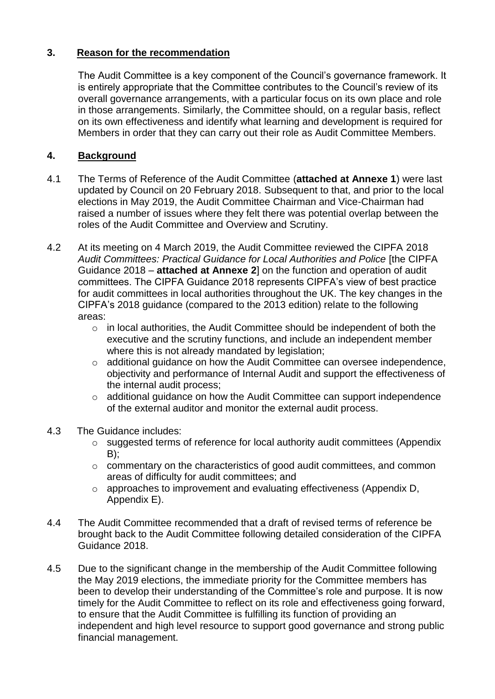## **3. Reason for the recommendation**

The Audit Committee is a key component of the Council's governance framework. It is entirely appropriate that the Committee contributes to the Council's review of its overall governance arrangements, with a particular focus on its own place and role in those arrangements. Similarly, the Committee should, on a regular basis, reflect on its own effectiveness and identify what learning and development is required for Members in order that they can carry out their role as Audit Committee Members.

# **4. Background**

- 4.1 The Terms of Reference of the Audit Committee (**attached at Annexe 1**) were last updated by Council on 20 February 2018. Subsequent to that, and prior to the local elections in May 2019, the Audit Committee Chairman and Vice-Chairman had raised a number of issues where they felt there was potential overlap between the roles of the Audit Committee and Overview and Scrutiny.
- 4.2 At its meeting on 4 March 2019, the Audit Committee reviewed the CIPFA 2018 *Audit Committees: Practical Guidance for Local Authorities and Police* [the CIPFA Guidance 2018 – **attached at Annexe 2**] on the function and operation of audit committees. The CIPFA Guidance 2018 represents CIPFA's view of best practice for audit committees in local authorities throughout the UK. The key changes in the CIPFA's 2018 guidance (compared to the 2013 edition) relate to the following areas:
	- $\circ$  in local authorities, the Audit Committee should be independent of both the executive and the scrutiny functions, and include an independent member where this is not already mandated by legislation;
	- o additional guidance on how the Audit Committee can oversee independence, objectivity and performance of Internal Audit and support the effectiveness of the internal audit process;
	- o additional guidance on how the Audit Committee can support independence of the external auditor and monitor the external audit process.
- 4.3 The Guidance includes:
	- o suggested terms of reference for local authority audit committees (Appendix  $B$ :
	- o commentary on the characteristics of good audit committees, and common areas of difficulty for audit committees; and
	- o approaches to improvement and evaluating effectiveness (Appendix D, Appendix E).
- 4.4 The Audit Committee recommended that a draft of revised terms of reference be brought back to the Audit Committee following detailed consideration of the CIPFA Guidance 2018.
- 4.5 Due to the significant change in the membership of the Audit Committee following the May 2019 elections, the immediate priority for the Committee members has been to develop their understanding of the Committee's role and purpose. It is now timely for the Audit Committee to reflect on its role and effectiveness going forward, to ensure that the Audit Committee is fulfilling its function of providing an independent and high level resource to support good governance and strong public financial management.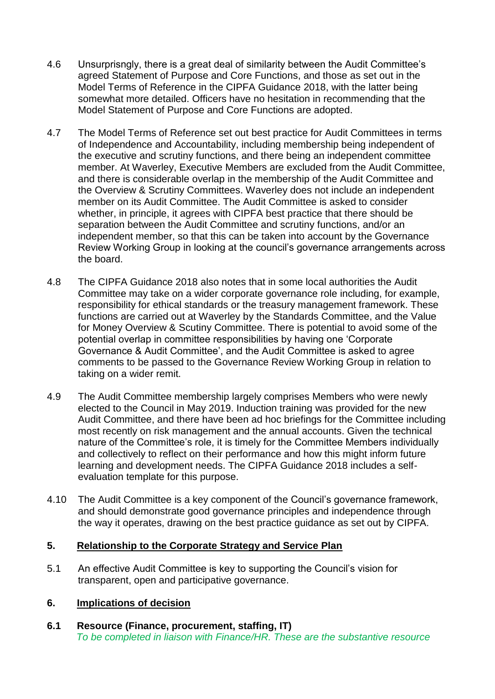- 4.6 Unsurprisngly, there is a great deal of similarity between the Audit Committee's agreed Statement of Purpose and Core Functions, and those as set out in the Model Terms of Reference in the CIPFA Guidance 2018, with the latter being somewhat more detailed. Officers have no hesitation in recommending that the Model Statement of Purpose and Core Functions are adopted.
- 4.7 The Model Terms of Reference set out best practice for Audit Committees in terms of Independence and Accountability, including membership being independent of the executive and scrutiny functions, and there being an independent committee member. At Waverley, Executive Members are excluded from the Audit Committee, and there is considerable overlap in the membership of the Audit Committee and the Overview & Scrutiny Committees. Waverley does not include an independent member on its Audit Committee. The Audit Committee is asked to consider whether, in principle, it agrees with CIPFA best practice that there should be separation between the Audit Committee and scrutiny functions, and/or an independent member, so that this can be taken into account by the Governance Review Working Group in looking at the council's governance arrangements across the board.
- 4.8 The CIPFA Guidance 2018 also notes that in some local authorities the Audit Committee may take on a wider corporate governance role including, for example, responsibility for ethical standards or the treasury management framework. These functions are carried out at Waverley by the Standards Committee, and the Value for Money Overview & Scutiny Committee. There is potential to avoid some of the potential overlap in committee responsibilities by having one 'Corporate Governance & Audit Committee', and the Audit Committee is asked to agree comments to be passed to the Governance Review Working Group in relation to taking on a wider remit.
- 4.9 The Audit Committee membership largely comprises Members who were newly elected to the Council in May 2019. Induction training was provided for the new Audit Committee, and there have been ad hoc briefings for the Committee including most recently on risk management and the annual accounts. Given the technical nature of the Committee's role, it is timely for the Committee Members individually and collectively to reflect on their performance and how this might inform future learning and development needs. The CIPFA Guidance 2018 includes a selfevaluation template for this purpose.
- 4.10 The Audit Committee is a key component of the Council's governance framework, and should demonstrate good governance principles and independence through the way it operates, drawing on the best practice guidance as set out by CIPFA.

#### **5. Relationship to the Corporate Strategy and Service Plan**

5.1 An effective Audit Committee is key to supporting the Council's vision for transparent, open and participative governance.

## **6. Implications of decision**

**6.1 Resource (Finance, procurement, staffing, IT)** *To be completed in liaison with Finance/HR. These are the substantive resource*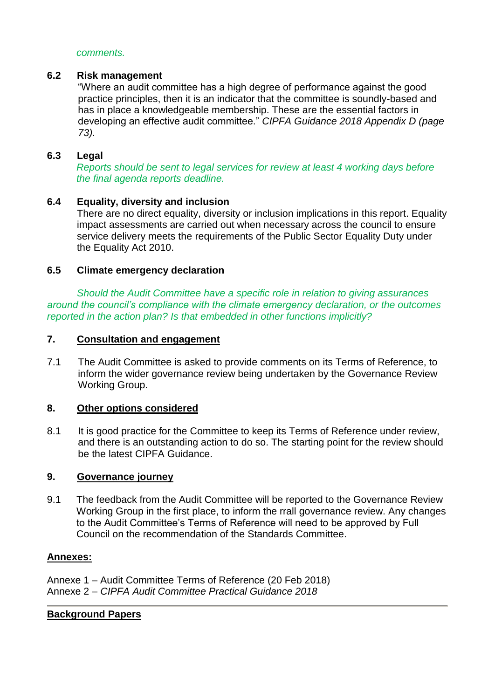#### *comments.*

#### **6.2 Risk management**

"Where an audit committee has a high degree of performance against the good practice principles, then it is an indicator that the committee is soundly-based and has in place a knowledgeable membership. These are the essential factors in developing an effective audit committee." *CIPFA Guidance 2018 Appendix D (page 73).*

#### **6.3 Legal**

*Reports should be sent to legal services for review at least 4 working days before the final agenda reports deadline.*

#### **6.4 Equality, diversity and inclusion**

There are no direct equality, diversity or inclusion implications in this report. Equality impact assessments are carried out when necessary across the council to ensure service delivery meets the requirements of the Public Sector Equality Duty under the Equality Act 2010.

#### **6.5 Climate emergency declaration**

*Should the Audit Committee have a specific role in relation to giving assurances around the council's compliance with the climate emergency declaration, or the outcomes reported in the action plan? Is that embedded in other functions implicitly?*

#### **7. Consultation and engagement**

7.1 The Audit Committee is asked to provide comments on its Terms of Reference, to inform the wider governance review being undertaken by the Governance Review Working Group.

#### **8. Other options considered**

8.1 It is good practice for the Committee to keep its Terms of Reference under review, and there is an outstanding action to do so. The starting point for the review should be the latest CIPFA Guidance.

#### **9. Governance journey**

9.1 The feedback from the Audit Committee will be reported to the Governance Review Working Group in the first place, to inform the rrall governance review. Any changes to the Audit Committee's Terms of Reference will need to be approved by Full Council on the recommendation of the Standards Committee.

#### **Annexes:**

Annexe 1 – Audit Committee Terms of Reference (20 Feb 2018) Annexe 2 – *CIPFA Audit Committee Practical Guidance 2018*

#### **Background Papers**